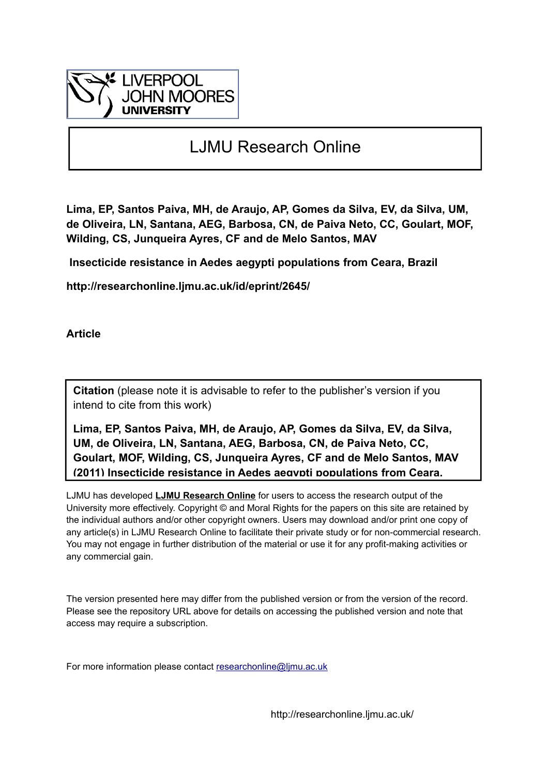

## LJMU Research Online

**Lima, EP, Santos Paiva, MH, de Araujo, AP, Gomes da Silva, EV, da Silva, UM, de Oliveira, LN, Santana, AEG, Barbosa, CN, de Paiva Neto, CC, Goulart, MOF, Wilding, CS, Junqueira Ayres, CF and de Melo Santos, MAV**

 **Insecticide resistance in Aedes aegypti populations from Ceara, Brazil**

**http://researchonline.ljmu.ac.uk/id/eprint/2645/**

**Article**

**Citation** (please note it is advisable to refer to the publisher's version if you intend to cite from this work)

**Lima, EP, Santos Paiva, MH, de Araujo, AP, Gomes da Silva, EV, da Silva, UM, de Oliveira, LN, Santana, AEG, Barbosa, CN, de Paiva Neto, CC, Goulart, MOF, Wilding, CS, Junqueira Ayres, CF and de Melo Santos, MAV (2011) Insecticide resistance in Aedes aegypti populations from Ceara,** 

LJMU has developed **[LJMU Research Online](http://researchonline.ljmu.ac.uk/)** for users to access the research output of the University more effectively. Copyright © and Moral Rights for the papers on this site are retained by the individual authors and/or other copyright owners. Users may download and/or print one copy of any article(s) in LJMU Research Online to facilitate their private study or for non-commercial research. You may not engage in further distribution of the material or use it for any profit-making activities or any commercial gain.

The version presented here may differ from the published version or from the version of the record. Please see the repository URL above for details on accessing the published version and note that access may require a subscription.

For more information please contact researchonline@limu.ac.uk

http://researchonline.ljmu.ac.uk/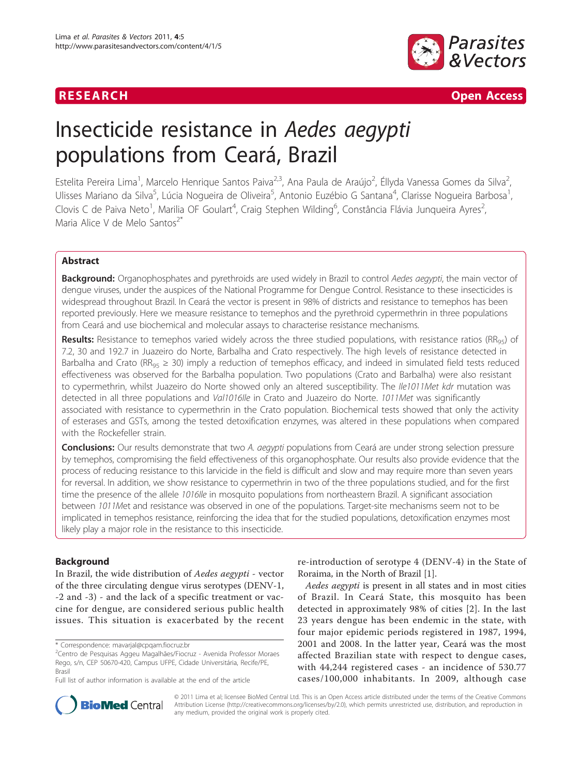

### **RESEARCH CONTROL** CONTROL CONTROL CONTROL CONTROL CONTROL CONTROL CONTROL CONTROL CONTROL CONTROL CONTROL CONTROL CONTROL CONTROL CONTROL CONTROL CONTROL CONTROL CONTROL CONTROL CONTROL CONTROL CONTROL CONTROL CONTROL CON

# Insecticide resistance in Aedes aegypti populations from Ceará, Brazil

Estelita Pereira Lima<sup>1</sup>, Marcelo Henrique Santos Paiva<sup>2,3</sup>, Ana Paula de Araújo<sup>2</sup>, Éllyda Vanessa Gomes da Silva<sup>2</sup> , Ulisses Mariano da Silva<sup>5</sup>, Lúcia Nogueira de Oliveira<sup>5</sup>, Antonio Euzébio G Santana<sup>4</sup>, Clarisse Nogueira Barbosa<sup>1</sup> , Clovis C de Paiva Neto<sup>1</sup>, Marilia OF Goulart<sup>4</sup>, Craig Stephen Wilding<sup>6</sup>, Constância Flávia Junqueira Ayres<sup>2</sup> , Maria Alice V de Melo Santos<sup>2\*</sup>

#### Abstract

Background: Organophosphates and pyrethroids are used widely in Brazil to control Aedes aegypti, the main vector of dengue viruses, under the auspices of the National Programme for Dengue Control. Resistance to these insecticides is widespread throughout Brazil. In Ceará the vector is present in 98% of districts and resistance to temephos has been reported previously. Here we measure resistance to temephos and the pyrethroid cypermethrin in three populations from Ceará and use biochemical and molecular assays to characterise resistance mechanisms.

Results: Resistance to temephos varied widely across the three studied populations, with resistance ratios (RR<sub>95</sub>) of 7.2, 30 and 192.7 in Juazeiro do Norte, Barbalha and Crato respectively. The high levels of resistance detected in Barbalha and Crato ( $RR_{95} \geq 30$ ) imply a reduction of temephos efficacy, and indeed in simulated field tests reduced effectiveness was observed for the Barbalha population. Two populations (Crato and Barbalha) were also resistant to cypermethrin, whilst Juazeiro do Norte showed only an altered susceptibility. The Ile1011Met kdr mutation was detected in all three populations and Val1016lle in Crato and Juazeiro do Norte. 1011Met was significantly associated with resistance to cypermethrin in the Crato population. Biochemical tests showed that only the activity of esterases and GSTs, among the tested detoxification enzymes, was altered in these populations when compared with the Rockefeller strain.

Conclusions: Our results demonstrate that two A. aegypti populations from Ceará are under strong selection pressure by temephos, compromising the field effectiveness of this organophosphate. Our results also provide evidence that the process of reducing resistance to this larvicide in the field is difficult and slow and may require more than seven years for reversal. In addition, we show resistance to cypermethrin in two of the three populations studied, and for the first time the presence of the allele 1016Ile in mosquito populations from northeastern Brazil. A significant association between 1011Met and resistance was observed in one of the populations. Target-site mechanisms seem not to be implicated in temephos resistance, reinforcing the idea that for the studied populations, detoxification enzymes most likely play a major role in the resistance to this insecticide.

#### Background

In Brazil, the wide distribution of Aedes aegypti - vector of the three circulating dengue virus serotypes (DENV-1, -2 and -3) - and the lack of a specific treatment or vaccine for dengue, are considered serious public health issues. This situation is exacerbated by the recent

re-introduction of serotype 4 (DENV-4) in the State of Roraima, in the North of Brazil [\[1\]](#page-11-0).

Aedes aegypti is present in all states and in most cities of Brazil. In Ceará State, this mosquito has been detected in approximately 98% of cities [[2\]](#page-11-0). In the last 23 years dengue has been endemic in the state, with four major epidemic periods registered in 1987, 1994, 2001 and 2008. In the latter year, Ceará was the most affected Brazilian state with respect to dengue cases, with 44,244 registered cases - an incidence of 530.77 cases/100,000 inhabitants. In 2009, although case



© 2011 Lima et al; licensee BioMed Central Ltd. This is an Open Access article distributed under the terms of the Creative Commons Attribution License [\(http://creativecommons.org/licenses/by/2.0](http://creativecommons.org/licenses/by/2.0)), which permits unrestricted use, distribution, and reproduction in any medium, provided the original work is properly cited.

<sup>\*</sup> Correspondence: [mavarjal@cpqam.fiocruz.br](mailto:mavarjal@cpqam.fiocruz.br)

<sup>2</sup> Centro de Pesquisas Aggeu Magalhães/Fiocruz - Avenida Professor Moraes Rego, s/n, CEP 50670-420, Campus UFPE, Cidade Universitária, Recife/PE, Brasil

Full list of author information is available at the end of the article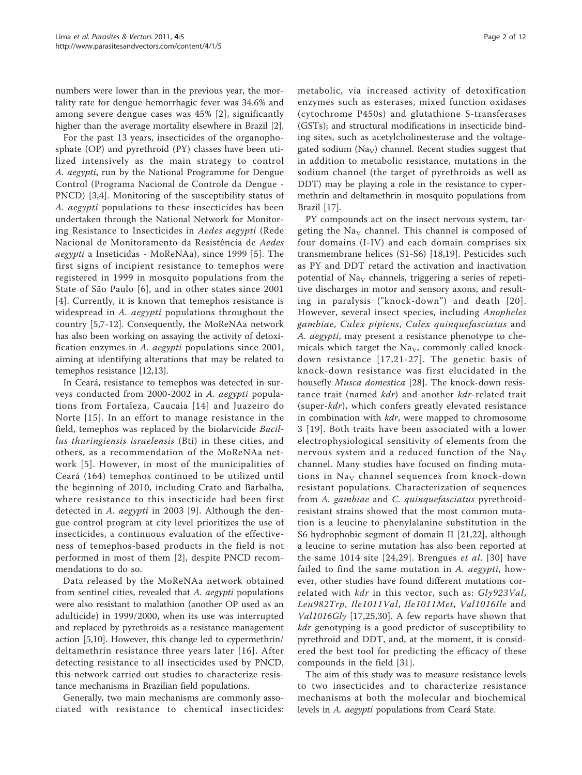numbers were lower than in the previous year, the mortality rate for dengue hemorrhagic fever was 34.6% and among severe dengue cases was 45% [[2](#page-11-0)], significantly higher than the average mortality elsewhere in Brazil [\[2](#page-11-0)].

For the past 13 years, insecticides of the organophosphate (OP) and pyrethroid (PY) classes have been utilized intensively as the main strategy to control A. aegypti, run by the National Programme for Dengue Control (Programa Nacional de Controle da Dengue - PNCD) [[3,4\]](#page-11-0). Monitoring of the susceptibility status of A. aegypti populations to these insecticides has been undertaken through the National Network for Monitoring Resistance to Insecticides in Aedes aegypti (Rede Nacional de Monitoramento da Resistência de Aedes aegypti a Inseticidas - MoReNAa), since 1999 [[5\]](#page-11-0). The first signs of incipient resistance to temephos were registered in 1999 in mosquito populations from the State of São Paulo [[6](#page-11-0)], and in other states since 2001 [[4](#page-11-0)]. Currently, it is known that temephos resistance is widespread in A. aegypti populations throughout the country [\[5](#page-11-0),[7-12](#page-11-0)]. Consequently, the MoReNAa network has also been working on assaying the activity of detoxification enzymes in A. aegypti populations since 2001, aiming at identifying alterations that may be related to temephos resistance [\[12,13](#page-11-0)].

In Ceará, resistance to temephos was detected in surveys conducted from 2000-2002 in A. aegypti populations from Fortaleza, Caucaia [[14](#page-11-0)] and Juazeiro do Norte [[15](#page-11-0)]. In an effort to manage resistance in the field, temephos was replaced by the biolarvicide Bacillus thuringiensis israelensis (Bti) in these cities, and others, as a recommendation of the MoReNAa network [[5\]](#page-11-0). However, in most of the municipalities of Ceará (164) temephos continued to be utilized until the beginning of 2010, including Crato and Barbalha, where resistance to this insecticide had been first detected in A. aegypti in 2003 [\[9\]](#page-11-0). Although the dengue control program at city level prioritizes the use of insecticides, a continuous evaluation of the effectiveness of temephos-based products in the field is not performed in most of them [\[2\]](#page-11-0), despite PNCD recommendations to do so.

Data released by the MoReNAa network obtained from sentinel cities, revealed that A. aegypti populations were also resistant to malathion (another OP used as an adulticide) in 1999/2000, when its use was interrupted and replaced by pyrethroids as a resistance management action [\[5,10\]](#page-11-0). However, this change led to cypermethrin/ deltamethrin resistance three years later [[16\]](#page-11-0). After detecting resistance to all insecticides used by PNCD, this network carried out studies to characterize resistance mechanisms in Brazilian field populations.

Generally, two main mechanisms are commonly associated with resistance to chemical insecticides:

metabolic, via increased activity of detoxification enzymes such as esterases, mixed function oxidases (cytochrome P450s) and glutathione S-transferases (GSTs); and structural modifications in insecticide binding sites, such as acetylcholinesterase and the voltagegated sodium ( $\text{Na}_{\text{V}}$ ) channel. Recent studies suggest that in addition to metabolic resistance, mutations in the sodium channel (the target of pyrethroids as well as DDT) may be playing a role in the resistance to cypermethrin and deltamethrin in mosquito populations from Brazil [\[17](#page-11-0)].

PY compounds act on the insect nervous system, targeting the Na<sub>V</sub> channel. This channel is composed of four domains (I-IV) and each domain comprises six transmembrane helices (S1-S6) [\[18](#page-11-0),[19\]](#page-11-0). Pesticides such as PY and DDT retard the activation and inactivation potential of  $\text{Na}_{\text{V}}$  channels, triggering a series of repetitive discharges in motor and sensory axons, and resulting in paralysis ("knock-down") and death [[20\]](#page-11-0). However, several insect species, including Anopheles gambiae, Culex pipiens, Culex quinquefasciatus and A. aegypti, may present a resistance phenotype to chemicals which target the  $\text{Na}_{\text{V}}$ , commonly called knockdown resistance [[17](#page-11-0),[21-27](#page-11-0)]. The genetic basis of knock-down resistance was first elucidated in the housefly Musca domestica [[28\]](#page-11-0). The knock-down resistance trait (named kdr) and another kdr-related trait (super-kdr), which confers greatly elevated resistance in combination with  $kdr$ , were mapped to chromosome 3 [[19\]](#page-11-0). Both traits have been associated with a lower electrophysiological sensitivity of elements from the nervous system and a reduced function of the Na<sub>V</sub> channel. Many studies have focused on finding mutations in  $\text{Na}_{\text{V}}$  channel sequences from knock-down resistant populations. Characterization of sequences from A. gambiae and C. quinquefasciatus pyrethroidresistant strains showed that the most common mutation is a leucine to phenylalanine substitution in the S6 hydrophobic segment of domain II [\[21,22](#page-11-0)], although a leucine to serine mutation has also been reported at the same 1014 site [[24](#page-11-0),[29](#page-11-0)]. Brengues et al. [\[30\]](#page-11-0) have failed to find the same mutation in A. aegypti, however, other studies have found different mutations correlated with *kdr* in this vector, such as: Gly923Val, Leu982Trp, Ile1011Val, Ile1011Met, Val1016Ile and Val1016Gly [[17,25,30\]](#page-11-0). A few reports have shown that kdr genotyping is a good predictor of susceptibility to pyrethroid and DDT, and, at the moment, it is considered the best tool for predicting the efficacy of these compounds in the field [\[31](#page-11-0)].

The aim of this study was to measure resistance levels to two insecticides and to characterize resistance mechanisms at both the molecular and biochemical levels in A. aegypti populations from Ceará State.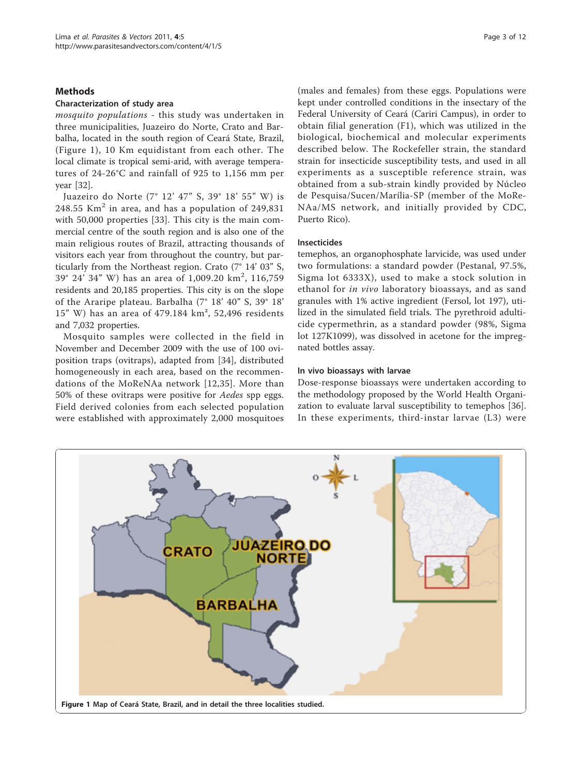#### Methods

#### Characterization of study area

mosquito populations - this study was undertaken in three municipalities, Juazeiro do Norte, Crato and Barbalha, located in the south region of Ceará State, Brazil, (Figure 1), 10 Km equidistant from each other. The local climate is tropical semi-arid, with average temperatures of 24-26°C and rainfall of 925 to 1,156 mm per year [[32\]](#page-11-0).

Juazeiro do Norte (7° 12' 47" S, 39° 18' 55" W) is 248.55  $\text{Km}^2$  in area, and has a population of 249,831 with 50,000 properties [\[33](#page-11-0)]. This city is the main commercial centre of the south region and is also one of the main religious routes of Brazil, attracting thousands of visitors each year from throughout the country, but particularly from the Northeast region. Crato (7° 14' 03" S, 39° 24′ 34″ W) has an area of 1,009.20 km<sup>2</sup>, 116,759 residents and 20,185 properties. This city is on the slope of the Araripe plateau. Barbalha (7° 18' 40" S, 39° 18' 15" W) has an area of 479.184 km², 52,496 residents and 7,032 properties.

Mosquito samples were collected in the field in November and December 2009 with the use of 100 oviposition traps (ovitraps), adapted from [[34\]](#page-11-0), distributed homogeneously in each area, based on the recommendations of the MoReNAa network [[12](#page-11-0),[35](#page-11-0)]. More than 50% of these ovitraps were positive for Aedes spp eggs. Field derived colonies from each selected population were established with approximately 2,000 mosquitoes (males and females) from these eggs. Populations were kept under controlled conditions in the insectary of the Federal University of Ceará (Cariri Campus), in order to obtain filial generation (F1), which was utilized in the biological, biochemical and molecular experiments described below. The Rockefeller strain, the standard strain for insecticide susceptibility tests, and used in all experiments as a susceptible reference strain, was obtained from a sub-strain kindly provided by Núcleo de Pesquisa/Sucen/Marília-SP (member of the MoRe-NAa/MS network, and initially provided by CDC, Puerto Rico).

#### Insecticides

temephos, an organophosphate larvicide, was used under two formulations: a standard powder (Pestanal, 97.5%, Sigma lot 6333X), used to make a stock solution in ethanol for in vivo laboratory bioassays, and as sand granules with 1% active ingredient (Fersol, lot 197), utilized in the simulated field trials. The pyrethroid adulticide cypermethrin, as a standard powder (98%, Sigma lot 127K1099), was dissolved in acetone for the impregnated bottles assay.

#### In vivo bioassays with larvae

Dose-response bioassays were undertaken according to the methodology proposed by the World Health Organization to evaluate larval susceptibility to temephos [\[36](#page-11-0)]. In these experiments, third-instar larvae (L3) were

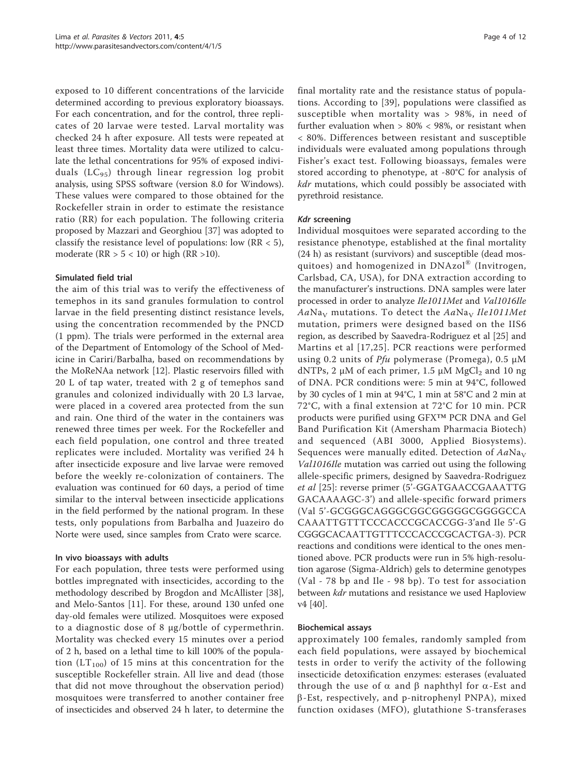exposed to 10 different concentrations of the larvicide determined according to previous exploratory bioassays. For each concentration, and for the control, three replicates of 20 larvae were tested. Larval mortality was checked 24 h after exposure. All tests were repeated at least three times. Mortality data were utilized to calculate the lethal concentrations for 95% of exposed individuals  $(LC_{95})$  through linear regression log probit analysis, using SPSS software (version 8.0 for Windows). These values were compared to those obtained for the Rockefeller strain in order to estimate the resistance ratio (RR) for each population. The following criteria proposed by Mazzari and Georghiou [[37\]](#page-11-0) was adopted to classify the resistance level of populations: low  $(RR < 5)$ , moderate ( $RR > 5 < 10$ ) or high ( $RR > 10$ ).

#### Simulated field trial

the aim of this trial was to verify the effectiveness of temephos in its sand granules formulation to control larvae in the field presenting distinct resistance levels, using the concentration recommended by the PNCD (1 ppm). The trials were performed in the external area of the Department of Entomology of the School of Medicine in Cariri/Barbalha, based on recommendations by the MoReNAa network [\[12\]](#page-11-0). Plastic reservoirs filled with 20 L of tap water, treated with 2 g of temephos sand granules and colonized individually with 20 L3 larvae, were placed in a covered area protected from the sun and rain. One third of the water in the containers was renewed three times per week. For the Rockefeller and each field population, one control and three treated replicates were included. Mortality was verified 24 h after insecticide exposure and live larvae were removed before the weekly re-colonization of containers. The evaluation was continued for 60 days, a period of time similar to the interval between insecticide applications in the field performed by the national program. In these tests, only populations from Barbalha and Juazeiro do Norte were used, since samples from Crato were scarce.

#### In vivo bioassays with adults

For each population, three tests were performed using bottles impregnated with insecticides, according to the methodology described by Brogdon and McAllister [\[38](#page-11-0)], and Melo-Santos [\[11](#page-11-0)]. For these, around 130 unfed one day-old females were utilized. Mosquitoes were exposed to a diagnostic dose of 8 μg/bottle of cypermethrin. Mortality was checked every 15 minutes over a period of 2 h, based on a lethal time to kill 100% of the population ( $LT_{100}$ ) of 15 mins at this concentration for the susceptible Rockefeller strain. All live and dead (those that did not move throughout the observation period) mosquitoes were transferred to another container free of insecticides and observed 24 h later, to determine the final mortality rate and the resistance status of populations. According to [[39\]](#page-12-0), populations were classified as susceptible when mortality was > 98%, in need of further evaluation when > 80% < 98%, or resistant when < 80%. Differences between resistant and susceptible individuals were evaluated among populations through Fisher's exact test. Following bioassays, females were stored according to phenotype, at -80°C for analysis of kdr mutations, which could possibly be associated with pyrethroid resistance.

#### Kdr screening

Individual mosquitoes were separated according to the resistance phenotype, established at the final mortality (24 h) as resistant (survivors) and susceptible (dead mosquitoes) and homogenized in DNAzol® (Invitrogen, Carlsbad, CA, USA), for DNA extraction according to the manufacturer's instructions. DNA samples were later processed in order to analyze Ile1011Met and Val1016Ile  $Aa\text{Na}_{\text{V}}$  mutations. To detect the  $Aa\text{Na}_{\text{V}}$  Ile1011Met mutation, primers were designed based on the IIS6 region, as described by Saavedra-Rodriguez et al [[25\]](#page-11-0) and Martins et al [[17,25\]](#page-11-0). PCR reactions were performed using 0.2 units of  $Pf u$  polymerase (Promega), 0.5  $\mu$ M dNTPs, 2  $\mu$ M of each primer, 1.5  $\mu$ M MgCl<sub>2</sub> and 10 ng of DNA. PCR conditions were: 5 min at 94°C, followed by 30 cycles of 1 min at 94°C, 1 min at 58°C and 2 min at 72°C, with a final extension at 72°C for 10 min. PCR products were purified using GFX™ PCR DNA and Gel Band Purification Kit (Amersham Pharmacia Biotech) and sequenced (ABI 3000, Applied Biosystems). Sequences were manually edited. Detection of  $Aa\text{Na}_V$ Val1016Ile mutation was carried out using the following allele-specific primers, designed by Saavedra-Rodriguez et al [[25\]](#page-11-0): reverse primer (5'-GGATGAACCGAAATTG GACAAAAGC-3') and allele-specific forward primers (Val 5'-GCGGGCAGGGCGGCGGGGGCGGGGCCA CAAATTGTTTCCCACCCGCACCGG-3'and Ile 5'-G CGGGCACAATTGTTTCCCACCCGCACTGA-3). PCR reactions and conditions were identical to the ones mentioned above. PCR products were run in 5% high-resolution agarose (Sigma-Aldrich) gels to determine genotypes (Val - 78 bp and Ile - 98 bp). To test for association between kdr mutations and resistance we used Haploview v4 [[40\]](#page-12-0).

#### Biochemical assays

approximately 100 females, randomly sampled from each field populations, were assayed by biochemical tests in order to verify the activity of the following insecticide detoxification enzymes: esterases (evaluated through the use of  $\alpha$  and  $\beta$  naphthyl for  $\alpha$ -Est and  $\beta$ -Est, respectively, and p-nitrophenyl PNPA), mixed function oxidases (MFO), glutathione S-transferases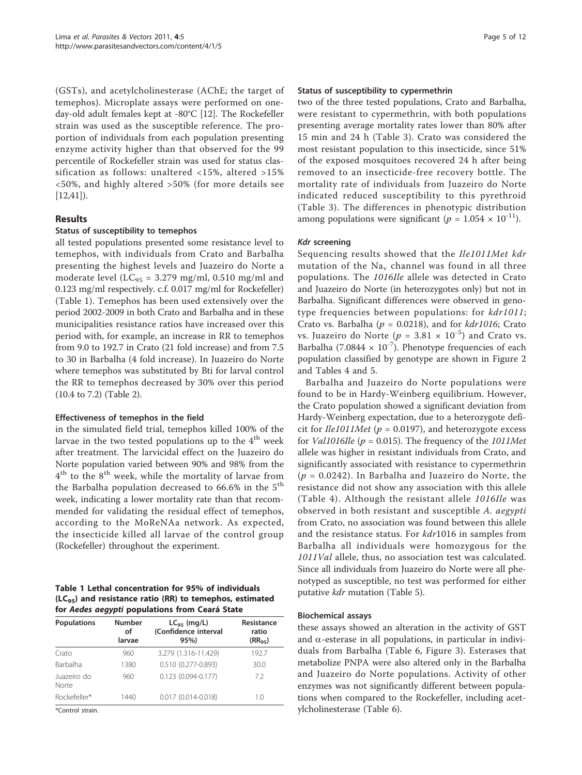(GSTs), and acetylcholinesterase (AChE; the target of temephos). Microplate assays were performed on oneday-old adult females kept at -80°C [[12\]](#page-11-0). The Rockefeller strain was used as the susceptible reference. The proportion of individuals from each population presenting enzyme activity higher than that observed for the 99 percentile of Rockefeller strain was used for status classification as follows: unaltered <15%, altered >15% <50%, and highly altered >50% (for more details see  $[12, 41]$  $[12, 41]$  $[12, 41]$  $[12, 41]$ ).

#### Results

#### Status of susceptibility to temephos

all tested populations presented some resistance level to temephos, with individuals from Crato and Barbalha presenting the highest levels and Juazeiro do Norte a moderate level ( $LC_{95}$  = 3.279 mg/ml, 0.510 mg/ml and 0.123 mg/ml respectively. c.f. 0.017 mg/ml for Rockefeller) (Table 1). Temephos has been used extensively over the period 2002-2009 in both Crato and Barbalha and in these municipalities resistance ratios have increased over this period with, for example, an increase in RR to temephos from 9.0 to 192.7 in Crato (21 fold increase) and from 7.5 to 30 in Barbalha (4 fold increase). In Juazeiro do Norte where temephos was substituted by Bti for larval control the RR to temephos decreased by 30% over this period (10.4 to 7.2) (Table [2\)](#page-6-0).

#### Effectiveness of temephos in the field

in the simulated field trial, temephos killed 100% of the larvae in the two tested populations up to the  $4<sup>th</sup>$  week after treatment. The larvicidal effect on the Juazeiro do Norte population varied between 90% and 98% from the  $4<sup>th</sup>$  to the  $8<sup>th</sup>$  week, while the mortality of larvae from the Barbalha population decreased to  $66.6\%$  in the  $5<sup>th</sup>$ week, indicating a lower mortality rate than that recommended for validating the residual effect of temephos, according to the MoReNAa network. As expected, the insecticide killed all larvae of the control group (Rockefeller) throughout the experiment.

Table 1 Lethal concentration for 95% of individuals  $(LC_{95})$  and resistance ratio (RR) to temephos, estimated for Aedes aegypti populations from Ceará State

| <b>Populations</b>   | <b>Number</b><br>οf<br>larvae | $LC_{95}$ (mg/L)<br>(Confidence interval<br>95% | Resistance<br>ratio<br>$(RR_{\alpha5})$ |  |  |
|----------------------|-------------------------------|-------------------------------------------------|-----------------------------------------|--|--|
| Crato                | 960                           | 3.279 (1.316-11.429)                            | 192.7                                   |  |  |
| <b>Barbalha</b>      | 1380                          | 0.510 (0.277-0.893)                             | 30.0                                    |  |  |
| Juazeiro do<br>Norte | 960                           | $0.123$ $(0.094 - 0.177)$                       | 7.2                                     |  |  |
| Rockefeller*         | 1440                          | $0.017(0.014 - 0.018)$                          | 1.0                                     |  |  |

\*Control strain.

#### Status of susceptibility to cypermethrin

two of the three tested populations, Crato and Barbalha, were resistant to cypermethrin, with both populations presenting average mortality rates lower than 80% after 15 min and 24 h (Table [3](#page-6-0)). Crato was considered the most resistant population to this insecticide, since 51% of the exposed mosquitoes recovered 24 h after being removed to an insecticide-free recovery bottle. The mortality rate of individuals from Juazeiro do Norte indicated reduced susceptibility to this pyrethroid (Table [3\)](#page-6-0). The differences in phenotypic distribution among populations were significant ( $p = 1.054 \times 10^{-11}$ ).

#### Kdr screening

Sequencing results showed that the Ile1011Met kdr mutation of the  $Na<sub>v</sub>$  channel was found in all three populations. The 1016Ile allele was detected in Crato and Juazeiro do Norte (in heterozygotes only) but not in Barbalha. Significant differences were observed in genotype frequencies between populations: for kdr1011; Crato vs. Barbalha ( $p = 0.0218$ ), and for  $kdr1016$ ; Crato vs. Juazeiro do Norte ( $p = 3.81 \times 10^{-5}$ ) and Crato vs. Barbalha (7.0844  $\times$  10<sup>-7</sup>). Phenotype frequencies of each population classified by genotype are shown in Figure [2](#page-7-0) and Tables [4](#page-7-0) and [5](#page-8-0).

Barbalha and Juazeiro do Norte populations were found to be in Hardy-Weinberg equilibrium. However, the Crato population showed a significant deviation from Hardy-Weinberg expectation, due to a heterozygote deficit for *Ile1011Met* ( $p = 0.0197$ ), and heterozygote excess for *Val1016Ile* ( $p = 0.015$ ). The frequency of the *1011Met* allele was higher in resistant individuals from Crato, and significantly associated with resistance to cypermethrin  $(p = 0.0242)$ . In Barbalha and Juazeiro do Norte, the resistance did not show any association with this allele (Table [4\)](#page-7-0). Although the resistant allele 1016Ile was observed in both resistant and susceptible A. aegypti from Crato, no association was found between this allele and the resistance status. For kdr1016 in samples from Barbalha all individuals were homozygous for the 1011Val allele, thus, no association test was calculated. Since all individuals from Juazeiro do Norte were all phenotyped as susceptible, no test was performed for either putative kdr mutation (Table [5\)](#page-8-0).

#### Biochemical assays

these assays showed an alteration in the activity of GST and  $\alpha$ -esterase in all populations, in particular in individuals from Barbalha (Table [6](#page-8-0), Figure [3](#page-9-0)). Esterases that metabolize PNPA were also altered only in the Barbalha and Juazeiro do Norte populations. Activity of other enzymes was not significantly different between populations when compared to the Rockefeller, including acetylcholinesterase (Table [6](#page-8-0)).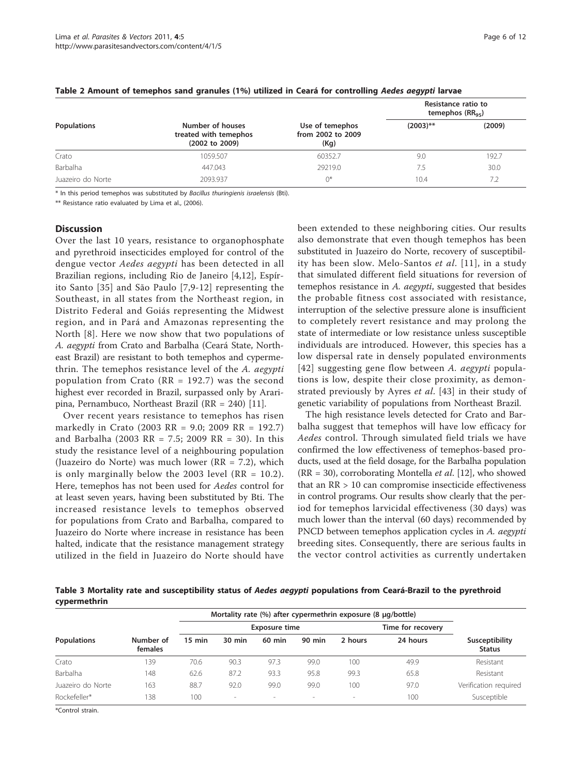|                    |                                                             |                                              | Resistance ratio to<br>temephos $(RR_{95})$ |        |  |
|--------------------|-------------------------------------------------------------|----------------------------------------------|---------------------------------------------|--------|--|
| <b>Populations</b> | Number of houses<br>treated with temephos<br>(2002 to 2009) | Use of temephos<br>from 2002 to 2009<br>(Kg) | $(2003)$ **                                 | (2009) |  |
| Crato              | 1059.507                                                    | 60352.7                                      | 9.0                                         | 192.7  |  |
| Barbalha           | 447.043                                                     | 29219.0                                      | 7.5                                         | 30.0   |  |
| Juazeiro do Norte  | 2093.937                                                    | $0^*$                                        | 10.4                                        | 7.2    |  |

#### <span id="page-6-0"></span>Table 2 Amount of temephos sand granules (1%) utilized in Ceará for controlling Aedes aegypti larvae

\* In this period temephos was substituted by Bacillus thuringienis israelensis (Bti).

\*\* Resistance ratio evaluated by Lima et al., (2006).

#### **Discussion**

Over the last 10 years, resistance to organophosphate and pyrethroid insecticides employed for control of the dengue vector Aedes aegypti has been detected in all Brazilian regions, including Rio de Janeiro [[4,12](#page-11-0)], Espírito Santo [\[35\]](#page-11-0) and São Paulo [[7,9](#page-11-0)-[12](#page-11-0)] representing the Southeast, in all states from the Northeast region, in Distrito Federal and Goiás representing the Midwest region, and in Pará and Amazonas representing the North [[8](#page-11-0)]. Here we now show that two populations of A. aegypti from Crato and Barbalha (Ceará State, Northeast Brazil) are resistant to both temephos and cypermethrin. The temephos resistance level of the A. aegypti population from Crato (RR = 192.7) was the second highest ever recorded in Brazil, surpassed only by Araripina, Pernambuco, Northeast Brazil (RR = 240) [[11](#page-11-0)].

Over recent years resistance to temephos has risen markedly in Crato (2003 RR = 9.0; 2009 RR = 192.7) and Barbalha (2003 RR = 7.5; 2009 RR = 30). In this study the resistance level of a neighbouring population (Juazeiro do Norte) was much lower (RR = 7.2), which is only marginally below the 2003 level  $(RR = 10.2)$ . Here, temephos has not been used for Aedes control for at least seven years, having been substituted by Bti. The increased resistance levels to temephos observed for populations from Crato and Barbalha, compared to Juazeiro do Norte where increase in resistance has been halted, indicate that the resistance management strategy utilized in the field in Juazeiro do Norte should have been extended to these neighboring cities. Our results also demonstrate that even though temephos has been substituted in Juazeiro do Norte, recovery of susceptibil-ity has been slow. Melo-Santos et al. [[11\]](#page-11-0), in a study that simulated different field situations for reversion of temephos resistance in A. aegypti, suggested that besides the probable fitness cost associated with resistance, interruption of the selective pressure alone is insufficient to completely revert resistance and may prolong the state of intermediate or low resistance unless susceptible individuals are introduced. However, this species has a low dispersal rate in densely populated environments [[42\]](#page-12-0) suggesting gene flow between A. aegypti populations is low, despite their close proximity, as demonstrated previously by Ayres et al. [\[43\]](#page-12-0) in their study of genetic variability of populations from Northeast Brazil.

The high resistance levels detected for Crato and Barbalha suggest that temephos will have low efficacy for Aedes control. Through simulated field trials we have confirmed the low effectiveness of temephos-based products, used at the field dosage, for the Barbalha population ( $RR = 30$ ), corroborating Montella *et al.* [[12\]](#page-11-0), who showed that an RR > 10 can compromise insecticide effectiveness in control programs. Our results show clearly that the period for temephos larvicidal effectiveness (30 days) was much lower than the interval (60 days) recommended by PNCD between temephos application cycles in A. aegypti breeding sites. Consequently, there are serious faults in the vector control activities as currently undertaken

Table 3 Mortality rate and susceptibility status of Aedes aegypti populations from Ceará-Brazil to the pyrethroid cypermethrin

|                    |                      | Mortality rate (%) after cypermethrin exposure (8 µg/bottle) |                          |                      |                          |                          |                   |                                 |
|--------------------|----------------------|--------------------------------------------------------------|--------------------------|----------------------|--------------------------|--------------------------|-------------------|---------------------------------|
|                    |                      |                                                              |                          | <b>Exposure time</b> |                          |                          | Time for recovery |                                 |
| <b>Populations</b> | Number of<br>females | $15 \text{ min}$                                             | 30 min                   | 60 min               | 90 min                   | 2 hours                  | 24 hours          | Susceptibility<br><b>Status</b> |
| Crato              | 39                   | 70.6                                                         | 90.3                     | 97.3                 | 99.0                     | 100                      | 49.9              | Resistant                       |
| Barbalha           | 148                  | 62.6                                                         | 87.2                     | 93.3                 | 95.8                     | 99.3                     | 65.8              | Resistant                       |
| Juazeiro do Norte  | 163                  | 88.7                                                         | 92.0                     | 99.0                 | 99.0                     | 100                      | 97.0              | Verification required           |
| Rockefeller*       | 38                   | 100                                                          | $\overline{\phantom{a}}$ | $\sim$               | $\overline{\phantom{a}}$ | $\overline{\phantom{a}}$ | 100               | Susceptible                     |

\*Control strain.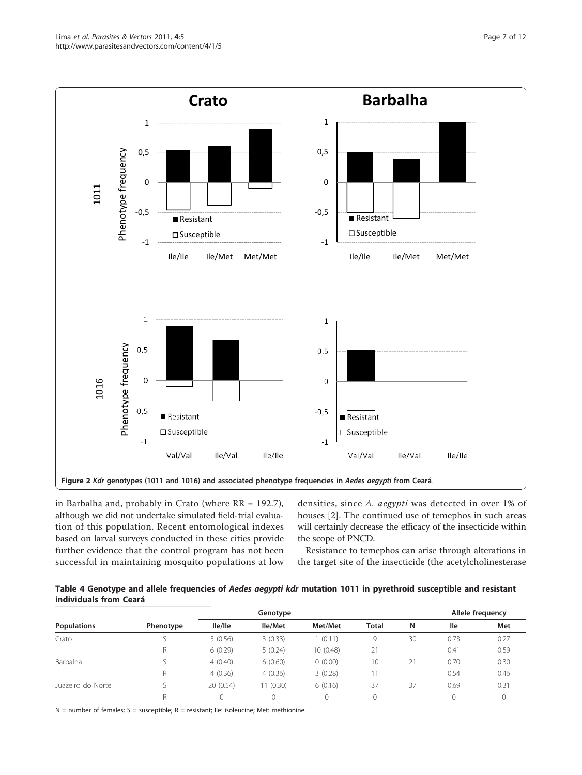<span id="page-7-0"></span>

in Barbalha and, probably in Crato (where RR = 192.7), although we did not undertake simulated field-trial evaluation of this population. Recent entomological indexes based on larval surveys conducted in these cities provide further evidence that the control program has not been successful in maintaining mosquito populations at low densities, since A. aegypti was detected in over 1% of houses [[2\]](#page-11-0). The continued use of temephos in such areas will certainly decrease the efficacy of the insecticide within the scope of PNCD.

Resistance to temephos can arise through alterations in the target site of the insecticide (the acetylcholinesterase

| Table 4 Genotype and allele frequencies of Aedes aegypti kdr mutation 1011 in pyrethroid susceptible and resistant |  |  |
|--------------------------------------------------------------------------------------------------------------------|--|--|
| individuals from Ceará                                                                                             |  |  |

|                    |           |           | Genotype  |           |              | Allele frequency |      |      |
|--------------------|-----------|-----------|-----------|-----------|--------------|------------------|------|------|
| <b>Populations</b> | Phenotype | lle/lle   | Ile/Met   | Met/Met   | <b>Total</b> | N                | lle  | Met  |
| Crato              |           | 5(0.56)   | 3(0.33)   | (0.11)    | 9            | 30               | 0.73 | 0.27 |
|                    |           | 6(0.29)   | 5(0.24)   | 10 (0.48) | 21           |                  | 0.41 | 0.59 |
| Barbalha           |           | 4(0.40)   | 6(0.60)   | 0(0.00)   | 10           | 21               | 0.70 | 0.30 |
|                    |           | 4(0.36)   | 4(0.36)   | 3(0.28)   |              |                  | 0.54 | 0.46 |
| Juazeiro do Norte  |           | 20 (0.54) | 11 (0.30) | 6(0.16)   | 37           | 37               | 0.69 | 0.31 |
|                    |           |           |           |           |              |                  |      |      |

 $N =$  number of females;  $S =$  susceptible;  $R =$  resistant; Ile: isoleucine; Met: methionine.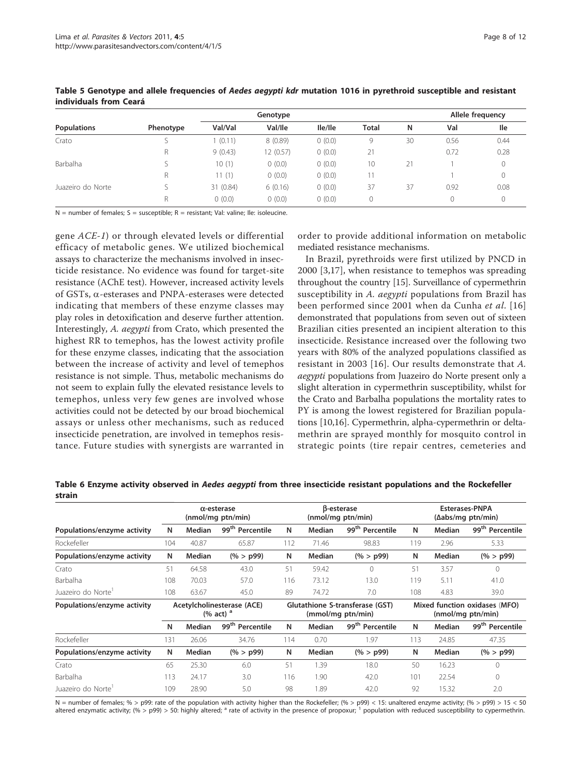|                    |           |           |           |         | Allele frequency |    |      |      |
|--------------------|-----------|-----------|-----------|---------|------------------|----|------|------|
| <b>Populations</b> | Phenotype | Val/Val   | Val/lle   | lle/lle | <b>Total</b>     | N  | Val  | lle  |
| Crato              |           | (0.11)    | 8(0.89)   | 0(0.0)  | 9                | 30 | 0.56 | 0.44 |
|                    | R         | 9(0.43)   | 12 (0.57) | 0(0.0)  | 21               |    | 0.72 | 0.28 |
| Barbalha           |           | 10(1)     | (0.0)     | 0(0.0)  | 10               | 21 |      |      |
|                    | R         | 11(1)     | (0.0)     | 0(0.0)  |                  |    |      | 0    |
| Juazeiro do Norte  |           | 31 (0.84) | 6(0.16)   | 0(0.0)  | 37               | 37 | 0.92 | 0.08 |
|                    | R         | (0.0)     | (0.0)     | 0(0.0)  | 0                |    |      |      |

#### <span id="page-8-0"></span>Table 5 Genotype and allele frequencies of Aedes aegypti kdr mutation 1016 in pyrethroid susceptible and resistant individuals from Ceará

 $N =$  number of females:  $S =$  susceptible;  $R =$  resistant; Val: valine; Ile: isoleucine.

gene ACE-1) or through elevated levels or differential efficacy of metabolic genes. We utilized biochemical assays to characterize the mechanisms involved in insecticide resistance. No evidence was found for target-site resistance (AChE test). However, increased activity levels of GSTs, a-esterases and PNPA-esterases were detected indicating that members of these enzyme classes may play roles in detoxification and deserve further attention. Interestingly, A. aegypti from Crato, which presented the highest RR to temephos, has the lowest activity profile for these enzyme classes, indicating that the association between the increase of activity and level of temephos resistance is not simple. Thus, metabolic mechanisms do not seem to explain fully the elevated resistance levels to temephos, unless very few genes are involved whose activities could not be detected by our broad biochemical assays or unless other mechanisms, such as reduced insecticide penetration, are involved in temephos resistance. Future studies with synergists are warranted in order to provide additional information on metabolic mediated resistance mechanisms.

In Brazil, pyrethroids were first utilized by PNCD in 2000 [[3,17](#page-11-0)], when resistance to temephos was spreading throughout the country [\[15\]](#page-11-0). Surveillance of cypermethrin susceptibility in A. *aegypti* populations from Brazil has been performed since 2001 when da Cunha et al. [[16](#page-11-0)] demonstrated that populations from seven out of sixteen Brazilian cities presented an incipient alteration to this insecticide. Resistance increased over the following two years with 80% of the analyzed populations classified as resistant in 2003 [[16\]](#page-11-0). Our results demonstrate that A. aegypti populations from Juazeiro do Norte present only a slight alteration in cypermethrin susceptibility, whilst for the Crato and Barbalha populations the mortality rates to PY is among the lowest registered for Brazilian populations [[10,16](#page-11-0)]. Cypermethrin, alpha-cypermethrin or deltamethrin are sprayed monthly for mosquito control in strategic points (tire repair centres, cemeteries and

|        |  | Table 6 Enzyme activity observed in Aedes aegypti from three insecticide resistant populations and the Rockefeller |
|--------|--|--------------------------------------------------------------------------------------------------------------------|
| strain |  |                                                                                                                    |

|                             | $\alpha$ -esterase<br>(nmol/mg ptn/min)    |        |                                                      | B-esterase<br>(nmol/mg ptn/min) |        |                                                    |     | <b>Esterases-PNPA</b><br>(Δabs/mg ptn/min) |                             |  |
|-----------------------------|--------------------------------------------|--------|------------------------------------------------------|---------------------------------|--------|----------------------------------------------------|-----|--------------------------------------------|-----------------------------|--|
| Populations/enzyme activity | N                                          | Median | 99 <sup>th</sup> Percentile                          | N                               | Median | 99 <sup>th</sup> Percentile                        | N   | Median                                     | 99 <sup>th</sup> Percentile |  |
| Rockefeller                 | 104                                        | 40.87  | 65.87                                                | 112                             | 71.46  | 98.83                                              | 119 | 2.96                                       | 5.33                        |  |
| Populations/enzyme activity | N                                          | Median | $(\% > p99)$                                         | N                               | Median | $(\% > p99)$                                       | N   | Median                                     | $(\% > p99)$                |  |
| Crato                       | 51                                         | 64.58  | 43.0                                                 | 51                              | 59.42  | 0                                                  | 51  | 3.57                                       | $\Omega$                    |  |
| Barbalha                    | 108                                        | 70.03  | 57.0                                                 | 116                             | 73.12  | 13.0                                               | 119 | 5.11                                       | 41.0                        |  |
| Juazeiro do Norte'          | 108                                        | 63.67  | 45.0                                                 | 89                              | 74.72  | 7.0                                                | 108 | 4.83                                       | 39.0                        |  |
| Populations/enzyme activity | Acetylcholinesterase (ACE)<br>(% act) $^a$ |        | Glutathione S-transferase (GST)<br>(mmol/mg ptn/min) |                                 |        | Mixed function oxidases (MFO)<br>(nmol/mg ptn/min) |     |                                            |                             |  |
|                             | N                                          | Median | 99 <sup>th</sup> Percentile                          | N                               | Median | 99 <sup>th</sup> Percentile                        | N   | Median                                     | 99 <sup>th</sup> Percentile |  |
| Rockefeller                 | 131                                        | 26.06  | 34.76                                                | 114                             | 0.70   | 1.97                                               | 113 | 24.85                                      | 47.35                       |  |
| Populations/enzyme activity | N                                          | Median | $(\% > p99)$                                         | N                               | Median | $(\% > p99)$                                       | N   | Median                                     | $(\% > p99)$                |  |
| Crato                       | 65                                         | 25.30  | 6.0                                                  | 51                              | 1.39   | 18.0                                               | 50  | 16.23                                      | 0                           |  |
| Barbalha                    | 113                                        | 24.17  | 3.0                                                  | 116                             | .90    | 42.0                                               | 101 | 22.54                                      | 0                           |  |
| Juazeiro do Norte           | 109                                        | 28.90  | 5.0                                                  | 98                              | 1.89   | 42.0                                               | 92  | 15.32                                      | 2.0                         |  |

N = number of females; % > p99: rate of the population with activity higher than the Rockefeller; (% > p99) < 15: unaltered enzyme activity; (% > p99) > 15 < 50 altered enzymatic activity; (% > p99) > 50: highly altered; <sup>a</sup> rate of activity in the presence of propoxur; <sup>1</sup> population with reduced susceptibility to cypermethrin.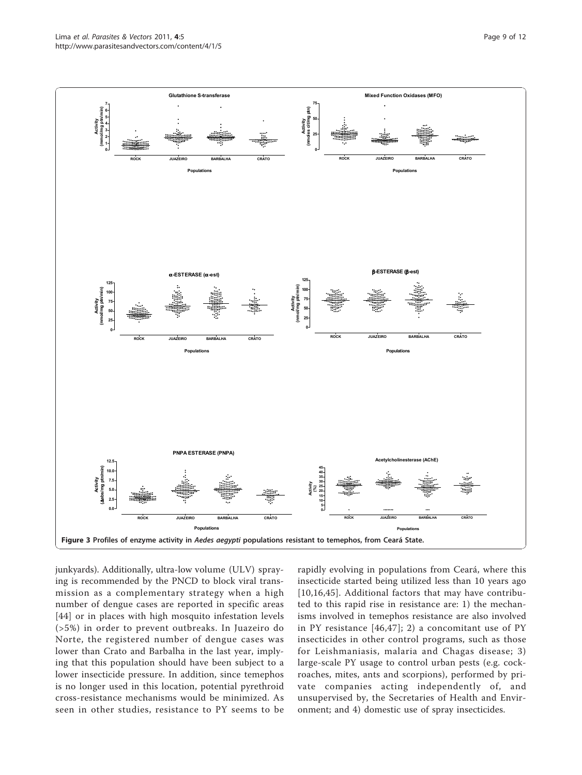<span id="page-9-0"></span>

junkyards). Additionally, ultra-low volume (ULV) spraying is recommended by the PNCD to block viral transmission as a complementary strategy when a high number of dengue cases are reported in specific areas [[44](#page-12-0)] or in places with high mosquito infestation levels (>5%) in order to prevent outbreaks. In Juazeiro do Norte, the registered number of dengue cases was lower than Crato and Barbalha in the last year, implying that this population should have been subject to a lower insecticide pressure. In addition, since temephos is no longer used in this location, potential pyrethroid cross-resistance mechanisms would be minimized. As seen in other studies, resistance to PY seems to be rapidly evolving in populations from Ceará, where this insecticide started being utilized less than 10 years ago [[10](#page-11-0),[16,](#page-11-0)[45\]](#page-12-0). Additional factors that may have contributed to this rapid rise in resistance are: 1) the mechanisms involved in temephos resistance are also involved in PY resistance [[46,47\]](#page-12-0); 2) a concomitant use of PY insecticides in other control programs, such as those for Leishmaniasis, malaria and Chagas disease; 3) large-scale PY usage to control urban pests (e.g. cockroaches, mites, ants and scorpions), performed by private companies acting independently of, and unsupervised by, the Secretaries of Health and Environment; and 4) domestic use of spray insecticides.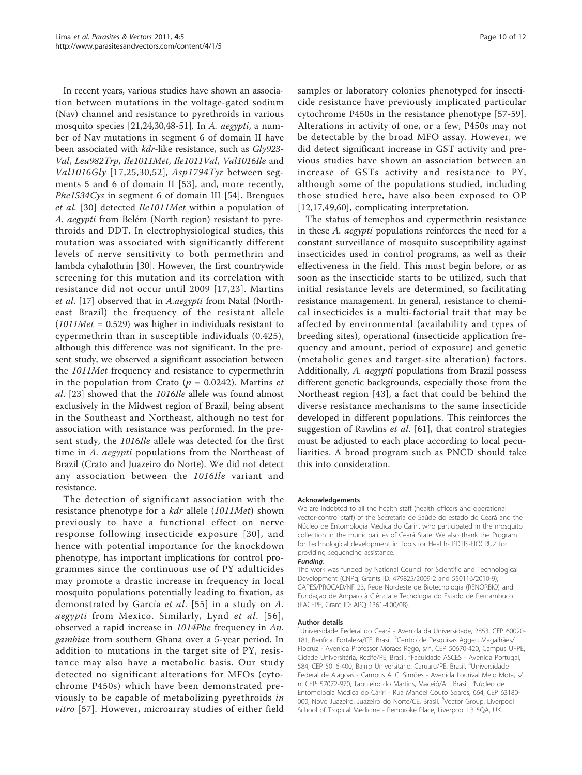In recent years, various studies have shown an association between mutations in the voltage-gated sodium (Nav) channel and resistance to pyrethroids in various mosquito species [[21,24,30,](#page-11-0)[48-51](#page-12-0)]. In A. aegypti, a number of Nav mutations in segment 6 of domain II have been associated with kdr-like resistance, such as Gly923- Val, Leu982Trp, Ile1011Met, Ile1011Val, Val1016Ile and Val1016Gly [[17,25,30](#page-11-0),[52](#page-12-0)], Asp1794Tyr between segments 5 and 6 of domain II [[53](#page-12-0)], and, more recently, Phe1534Cys in segment 6 of domain III [[54\]](#page-12-0). Brengues et al. [[30\]](#page-11-0) detected Ile1011Met within a population of A. aegypti from Belém (North region) resistant to pyrethroids and DDT. In electrophysiological studies, this mutation was associated with significantly different levels of nerve sensitivity to both permethrin and lambda cyhalothrin [\[30](#page-11-0)]. However, the first countrywide screening for this mutation and its correlation with resistance did not occur until 2009 [[17](#page-11-0),[23](#page-11-0)]. Martins et al. [[17\]](#page-11-0) observed that in A.aegypti from Natal (Northeast Brazil) the frequency of the resistant allele  $(1011Met = 0.529)$  was higher in individuals resistant to cypermethrin than in susceptible individuals (0.425), although this difference was not significant. In the present study, we observed a significant association between the 1011Met frequency and resistance to cypermethrin in the population from Crato ( $p = 0.0242$ ). Martins *et* al. [\[23](#page-11-0)] showed that the 1016Ile allele was found almost exclusively in the Midwest region of Brazil, being absent in the Southeast and Northeast, although no test for association with resistance was performed. In the present study, the 1016Ile allele was detected for the first time in A. *aegypti* populations from the Northeast of Brazil (Crato and Juazeiro do Norte). We did not detect any association between the 1016Ile variant and resistance.

The detection of significant association with the resistance phenotype for a *kdr* allele (1011Met) shown previously to have a functional effect on nerve response following insecticide exposure [[30](#page-11-0)], and hence with potential importance for the knockdown phenotype, has important implications for control programmes since the continuous use of PY adulticides may promote a drastic increase in frequency in local mosquito populations potentially leading to fixation, as demonstrated by García et al. [[55\]](#page-12-0) in a study on A. aegypti from Mexico. Similarly, Lynd et al. [[56\]](#page-12-0), observed a rapid increase in 1014Phe frequency in An. gambiae from southern Ghana over a 5-year period. In addition to mutations in the target site of PY, resistance may also have a metabolic basis. Our study detected no significant alterations for MFOs (cytochrome P450s) which have been demonstrated previously to be capable of metabolizing pyrethroids in vitro [[57\]](#page-12-0). However, microarray studies of either field

samples or laboratory colonies phenotyped for insecticide resistance have previously implicated particular cytochrome P450s in the resistance phenotype [\[57](#page-12-0)-[59](#page-12-0)]. Alterations in activity of one, or a few, P450s may not be detectable by the broad MFO assay. However, we did detect significant increase in GST activity and previous studies have shown an association between an increase of GSTs activity and resistance to PY, although some of the populations studied, including those studied here, have also been exposed to OP [[12,17](#page-11-0)[,49](#page-12-0),[60\]](#page-12-0), complicating interpretation.

The status of temephos and cypermethrin resistance in these A. aegypti populations reinforces the need for a constant surveillance of mosquito susceptibility against insecticides used in control programs, as well as their effectiveness in the field. This must begin before, or as soon as the insecticide starts to be utilized, such that initial resistance levels are determined, so facilitating resistance management. In general, resistance to chemical insecticides is a multi-factorial trait that may be affected by environmental (availability and types of breeding sites), operational (insecticide application frequency and amount, period of exposure) and genetic (metabolic genes and target-site alteration) factors. Additionally, A. *aegypti* populations from Brazil possess different genetic backgrounds, especially those from the Northeast region [[43\]](#page-12-0), a fact that could be behind the diverse resistance mechanisms to the same insecticide developed in different populations. This reinforces the suggestion of Rawlins et al. [\[61](#page-12-0)], that control strategies must be adjusted to each place according to local peculiarities. A broad program such as PNCD should take this into consideration.

#### Acknowledgements

We are indebted to all the health staff (health officers and operational vector-control staff) of the Secretaria de Saúde do estado do Ceará and the Núcleo de Entomologia Médica do Cariri, who participated in the mosquito collection in the municipalities of Ceará State. We also thank the Program for Technological development in Tools for Health- PDTIS-FIOCRUZ for providing sequencing assistance.

#### Funding:

The work was funded by National Council for Scientific and Technological Development (CNPq, Grants ID: 479825/2009-2 and 550116/2010-9), CAPES/PROCAD/NF 23, Rede Nordeste de Biotecnologia (RENORBIO) and Fundação de Amparo à Ciência e Tecnologia do Estado de Pernambuco (FACEPE, Grant ID: APQ 1361-4.00/08).

#### Author details

<sup>1</sup>Universidade Federal do Ceará - Avenida da Universidade, 2853, CEP 60020-181, Benfica, Fortaleza/CE, Brasil. <sup>2</sup>Centro de Pesquisas Aggeu Magalhães/ Fiocruz - Avenida Professor Moraes Rego, s/n, CEP 50670-420, Campus UFPE, Cidade Universitária, Recife/PE, Brasil. <sup>3</sup> Faculdade ASCES - Avenida Portugal 584, CEP 5016-400, Bairro Universitário, Caruaru/PE, Brasil. <sup>4</sup>Universidade Federal de Alagoas - Campus A. C. Simões - Avenida Lourival Melo Mota, s/ n, CEP: 57072-970, Tabuleiro do Martins, Maceió/AL, Brasil. <sup>5</sup>Núcleo de Entomologia Médica do Cariri - Rua Manoel Couto Soares, 664, CEP 63180- 000, Novo Juazeiro, Juazeiro do Norte/CE, Brasil. <sup>6</sup>Vector Group, Liverpool School of Tropical Medicine - Pembroke Place, Liverpool L3 5QA, UK.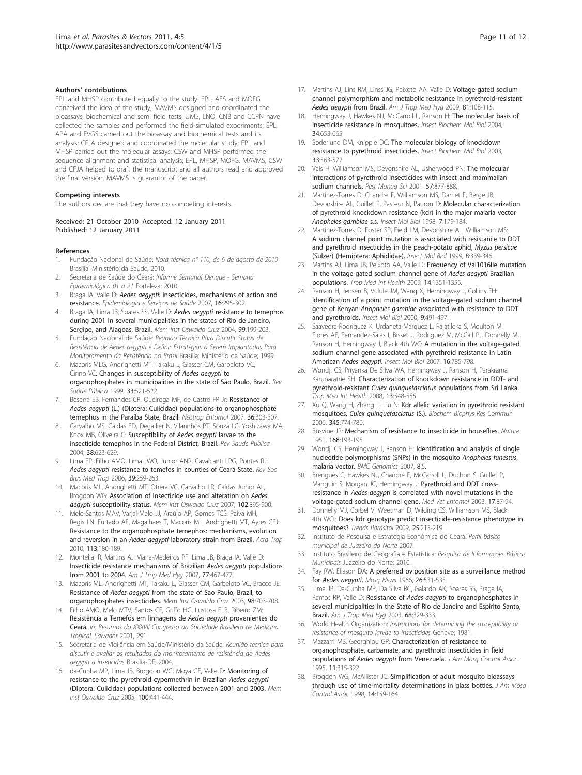#### <span id="page-11-0"></span>Authors' contributions

EPL and MHSP contributed equally to the study. EPL, AES and MOFG conceived the idea of the study; MAVMS designed and coordinated the bioassays, biochemical and semi field tests; UMS, LNO, CNB and CCPN have collected the samples and performed the field-simulated experiments; EPL, APA and EVGS carried out the bioassay and biochemical tests and its analysis; CFJA designed and coordinated the molecular study; EPL and MHSP carried out the molecular assays; CSW and MHSP performed the sequence alignment and statistical analysis; EPL, MHSP, MOFG, MAVMS, CSW and CFJA helped to draft the manuscript and all authors read and approved the final version. MAVMS is guarantor of the paper.

#### Competing interests

The authors declare that they have no competing interests.

#### Received: 21 October 2010 Accepted: 12 January 2011 Published: 12 January 2011

#### References

- 1. Fundação Nacional de Saúde: Nota técnica n° 110, de 6 de agosto de 2010 Brasília: Ministério da Saúde; 2010.
- 2. Secretaria de Saúde do Ceará: Informe Semanal Dengue Semana Epidemiológica 01 a 21 Fortaleza; 2010.
- 3. Braga IA, Valle D: Aedes aegypti: insecticides, mechanisms of action and resistance. Epidemiologia e Serviços de Saúde 2007, 16:295-302.
- 4. Braga IA, Lima JB, Soares SS, Valle D: Aedes aegypti [resistance to temephos](http://www.ncbi.nlm.nih.gov/pubmed/15250476?dopt=Abstract) [during 2001 in several municipalities in the states of Rio de Janeiro,](http://www.ncbi.nlm.nih.gov/pubmed/15250476?dopt=Abstract) [Sergipe, and Alagoas, Brazil.](http://www.ncbi.nlm.nih.gov/pubmed/15250476?dopt=Abstract) Mem Inst Oswaldo Cruz 2004, 99:199-203.
- 5. Fundação Nacional de Saúde: Reunião Técnica Para Discutir Status de Resistência de Aedes aegypti e Definir Estratégias a Serem Implantadas Para Monitoramento da Resistência no Brasil Brasília: Ministério da Saúde; 1999.
- 6. Macoris MLG, Andrighetti MT, Takaku L, Glasser CM, Garbeloto VC, Cirino VC: [Changes in susceptibility of](http://www.ncbi.nlm.nih.gov/pubmed/10576756?dopt=Abstract) Aedes aegypti to [organophosphates in municipalities in the state of São Paulo, Brazil.](http://www.ncbi.nlm.nih.gov/pubmed/10576756?dopt=Abstract) Rev Saúde Pública 1999, 33:521-522.
- Beserra EB, Fernandes CR, Queiroga MF, de Castro FP Jr: [Resistance of](http://www.ncbi.nlm.nih.gov/pubmed/17607466?dopt=Abstract) Aedes aegypti [\(L.\) \(Diptera: Culicidae\) populations to organophosphate](http://www.ncbi.nlm.nih.gov/pubmed/17607466?dopt=Abstract) [temephos in the Paraíba State, Brazil.](http://www.ncbi.nlm.nih.gov/pubmed/17607466?dopt=Abstract) Neotrop Entomol 2007, 36:303-307.
- 8. Carvalho MS, Caldas ED, Degallier N, Vilarinhos PT, Souza LC, Yoshizawa MA, Knox MB, Oliveira C: [Susceptibility of](http://www.ncbi.nlm.nih.gov/pubmed/15499431?dopt=Abstract) Aedes aegypti larvae to the [insecticide temephos in the Federal District, Brazil.](http://www.ncbi.nlm.nih.gov/pubmed/15499431?dopt=Abstract) Rev Saude Publica 2004, 38:623-629.
- 9. Lima EP, Filho AMO, Lima JWO, Junior ANR, Cavalcanti LPG, Pontes RJ: Aedes aegypti [resistance to temefos in counties of Ceará State.](http://www.ncbi.nlm.nih.gov/pubmed/16906249?dopt=Abstract) Rev Soc Bras Med Trop 2006, 39:259-263.
- 10. Macoris ML, Andrighetti MT, Otrera VC, Carvalho LR, Caldas Junior AL, Brogdon WG: [Association of insecticide use and alteration on](http://www.ncbi.nlm.nih.gov/pubmed/18209926?dopt=Abstract) Aedes aegypti [susceptibility status.](http://www.ncbi.nlm.nih.gov/pubmed/18209926?dopt=Abstract) Mem Inst Oswaldo Cruz 2007, 102:895-900.
- 11. Melo-Santos MAV, Varjal-Melo JJ, Araújo AP, Gomes TCS, Paiva MH, Regis LN, Furtado AF, Magalhaes T, Macoris ML, Andrighetti MT, Ayres CFJ: [Resistance to the organophosphate temephos: mechanisms, evolution](http://www.ncbi.nlm.nih.gov/pubmed/19879849?dopt=Abstract) and reversion in an Aedes aegypti [laboratory strain from Brazil.](http://www.ncbi.nlm.nih.gov/pubmed/19879849?dopt=Abstract) Acta Trop 2010, 113:180-189.
- 12. Montella IR, Martins AJ, Viana-Medeiros PF, Lima JB, Braga IA, Valle D: [Insecticide resistance mechanisms of Brazilian](http://www.ncbi.nlm.nih.gov/pubmed/17827362?dopt=Abstract) Aedes aegypti populations [from 2001 to 2004.](http://www.ncbi.nlm.nih.gov/pubmed/17827362?dopt=Abstract) Am J Trop Med Hyg 2007, 77:467-477
- 13. Macoris ML, Andrighetti MT, Takaku L, Glasser CM, Garbeloto VC, Bracco JE: Resistance of Aedes aegypti [from the state of Sao Paulo, Brazil, to](http://www.ncbi.nlm.nih.gov/pubmed/12973541?dopt=Abstract) [organophosphates insecticides.](http://www.ncbi.nlm.nih.gov/pubmed/12973541?dopt=Abstract) Mem Inst Oswaldo Cruz 2003, 98:703-708.
- 14. Filho AMO, Melo MTV, Santos CE, Griffo HG, Lustosa ELB, Ribeiro ZM: Resistência a Temefós em linhagens de Aedes aegypti provenientes do Ceará. In: Resumos do XXXVII Congresso da Sociedade Brasileira de Medicina Tropical, Salvador 2001, 291.
- 15. Secretaria de Vigilância em Saúde/Ministério da Saúde: Reunião técnica para discutir e avaliar os resultados do monitoramento de resistência do Aedes aegypti a inseticidas Brasília-DF; 2004.
- 16. da-Cunha MP, Lima JB, Brogdon WG, Moya GE, Valle D: [Monitoring of](http://www.ncbi.nlm.nih.gov/pubmed/16113895?dopt=Abstract) [resistance to the pyrethroid cypermethrin in Brazilian](http://www.ncbi.nlm.nih.gov/pubmed/16113895?dopt=Abstract) Aedes aegypti [\(Diptera: Culicidae\) populations collected between 2001 and 2003.](http://www.ncbi.nlm.nih.gov/pubmed/16113895?dopt=Abstract) Mem Inst Oswaldo Cruz 2005, 100:441-444.
- 17. Martins AJ, Lins RM, Linss JG, Peixoto AA, Valle D: [Voltage-gated sodium](http://www.ncbi.nlm.nih.gov/pubmed/19556575?dopt=Abstract) [channel polymorphism and metabolic resistance in pyrethroid-resistant](http://www.ncbi.nlm.nih.gov/pubmed/19556575?dopt=Abstract) [Aedes aegypti](http://www.ncbi.nlm.nih.gov/pubmed/19556575?dopt=Abstract) from Brazil. Am J Trop Med Hyg 2009, 81:108-115.
- 18. Hemingway J, Hawkes NJ, McCarroll L, Ranson H: [The molecular basis of](http://www.ncbi.nlm.nih.gov/pubmed/15242706?dopt=Abstract) [insecticide resistance in mosquitoes.](http://www.ncbi.nlm.nih.gov/pubmed/15242706?dopt=Abstract) Insect Biochem Mol Biol 2004, 34:653-665.
- 19. Soderlund DM, Knipple DC: [The molecular biology of knockdown](http://www.ncbi.nlm.nih.gov/pubmed/12770575?dopt=Abstract) [resistance to pyrethroid insecticides.](http://www.ncbi.nlm.nih.gov/pubmed/12770575?dopt=Abstract) Insect Biochem Mol Biol 2003, 33:563-577.
- 20. Vais H, Williamson MS, Devonshire AL, Usherwood PN: [The molecular](http://www.ncbi.nlm.nih.gov/pubmed/11695180?dopt=Abstract) [interactions of pyrethroid insecticides with insect and mammalian](http://www.ncbi.nlm.nih.gov/pubmed/11695180?dopt=Abstract) [sodium channels.](http://www.ncbi.nlm.nih.gov/pubmed/11695180?dopt=Abstract) Pest Manag Sci 2001, 57:877-888.
- 21. Martinez-Torres D, Chandre F, Williamson MS, Darriet F, Berge JB, Devonshire AL, Guillet P, Pasteur N, Pauron D: [Molecular characterization](http://www.ncbi.nlm.nih.gov/pubmed/9535162?dopt=Abstract) [of pyrethroid knockdown resistance \(kdr\) in the major malaria vector](http://www.ncbi.nlm.nih.gov/pubmed/9535162?dopt=Abstract) [Anopheles gambiae](http://www.ncbi.nlm.nih.gov/pubmed/9535162?dopt=Abstract) s.s. Insect Mol Biol 1998, 7:179-184.
- 22. Martinez-Torres D, Foster SP, Field LM, Devonshire AL, Williamson MS: [A sodium channel point mutation is associated with resistance to DDT](http://www.ncbi.nlm.nih.gov/pubmed/10469251?dopt=Abstract) [and pyrethroid insecticides in the peach-potato aphid,](http://www.ncbi.nlm.nih.gov/pubmed/10469251?dopt=Abstract) Myzus persicae [\(Sulzer\) \(Hemiptera: Aphididae\).](http://www.ncbi.nlm.nih.gov/pubmed/10469251?dopt=Abstract) Insect Mol Biol 1999, 8:339-346.
- 23. Martins AJ, Lima JB, Peixoto AA, Valle D: Frequency of Val1016lle mutation [in the voltage-gated sodium channel gene of](http://www.ncbi.nlm.nih.gov/pubmed/19735371?dopt=Abstract) Aedes aegypti Brazilian [populations.](http://www.ncbi.nlm.nih.gov/pubmed/19735371?dopt=Abstract) Trop Med Int Health 2009, 14:1351-1355.
- 24. Ranson H, Jensen B, Vulule JM, Wang X, Hemingway J, Collins FH: [Identification of a point mutation in the voltage-gated sodium channel](http://www.ncbi.nlm.nih.gov/pubmed/11029667?dopt=Abstract) gene of Kenyan Anopheles gambiae [associated with resistance to DDT](http://www.ncbi.nlm.nih.gov/pubmed/11029667?dopt=Abstract) [and pyrethroids.](http://www.ncbi.nlm.nih.gov/pubmed/11029667?dopt=Abstract) Insect Mol Biol 2000, 9:491-497.
- 25. Saavedra-Rodriguez K, Urdaneta-Marquez L, Rajatileka S, Moulton M, Flores AE, Fernandez-Salas I, Bisset J, Rodriguez M, McCall PJ, Donnelly MJ, Ranson H, Hemingway J, Black 4th WC: [A mutation in the voltage-gated](http://www.ncbi.nlm.nih.gov/pubmed/18093007?dopt=Abstract) [sodium channel gene associated with pyrethroid resistance in Latin](http://www.ncbi.nlm.nih.gov/pubmed/18093007?dopt=Abstract) American [Aedes aegypti](http://www.ncbi.nlm.nih.gov/pubmed/18093007?dopt=Abstract). Insect Mol Biol 2007, 16:785-798.
- 26. Wondji CS, Priyanka De Silva WA, Hemingway J, Ranson H, Parakrama Karunaratne SH: [Characterization of knockdown resistance in DDT- and](http://www.ncbi.nlm.nih.gov/pubmed/18312471?dopt=Abstract) pyrethroid-resistant Culex quinquefasciatus [populations from Sri Lanka.](http://www.ncbi.nlm.nih.gov/pubmed/18312471?dopt=Abstract) Trop Med Int Health 2008, 13:548-555.
- 27. Xu Q, Wang H, Zhang L, Liu N: [Kdr allelic variation in pyrethroid resistant](http://www.ncbi.nlm.nih.gov/pubmed/16701561?dopt=Abstract) mosquitoes, [Culex quinquefasciatus](http://www.ncbi.nlm.nih.gov/pubmed/16701561?dopt=Abstract) (S.). Biochem Biophys Res Commun 2006, 345:774-780.
- 28. Busvine JR: [Mechanism of resistance to insecticide in houseflies.](http://www.ncbi.nlm.nih.gov/pubmed/14875041?dopt=Abstract) Nature 1951, 168:193-195.
- Wondji CS, Hemingway J, Ranson H: [Identification and analysis of single](http://www.ncbi.nlm.nih.gov/pubmed/17204152?dopt=Abstract) [nucleotide polymorphisms \(SNPs\) in the mosquito](http://www.ncbi.nlm.nih.gov/pubmed/17204152?dopt=Abstract) Anopheles funestus, [malaria vector.](http://www.ncbi.nlm.nih.gov/pubmed/17204152?dopt=Abstract) BMC Genomics 2007, 8:5.
- 30. Brengues C, Hawkes NJ, Chandre F, McCarroll L, Duchon S, Guillet P, Manguin S, Morgan JC, Hemingway J: [Pyrethroid and DDT cross](http://www.ncbi.nlm.nih.gov/pubmed/12680930?dopt=Abstract)resistance in Aedes aegypti [is correlated with novel mutations in the](http://www.ncbi.nlm.nih.gov/pubmed/12680930?dopt=Abstract) [voltage-gated sodium channel gene.](http://www.ncbi.nlm.nih.gov/pubmed/12680930?dopt=Abstract) Med Vet Entomol 2003, 17:87-94.
- 31. Donnelly MJ, Corbel V, Weetman D, Wilding CS, Williamson MS, Black 4th WCt: [Does kdr genotype predict insecticide-resistance phenotype in](http://www.ncbi.nlm.nih.gov/pubmed/19369117?dopt=Abstract) [mosquitoes?](http://www.ncbi.nlm.nih.gov/pubmed/19369117?dopt=Abstract) Trends Parasitol 2009, 25:213-219.
- 32. Instituto de Pesquisa e Estratégia Econômica do Ceará: Perfil básico municipal de Juazeiro do Norte 2007.
- 33. Instituto Brasileiro de Geografia e Estatística: Pesquisa de Informações Básicas Municipais Juazeiro do Norte; 2010.
- 34. Fay RW, Eliason DA: A preferred oviposition site as a surveillance method for Aedes aegypti. Mosq News 1966, 26:531-535.
- 35. Lima JB, Da-Cunha MP, Da Silva RC, Galardo AK, Soares SS, Braga IA, Ramos RP, Valle D: Resistance of Aedes aegypti [to organophosphates in](http://www.ncbi.nlm.nih.gov/pubmed/12685640?dopt=Abstract) [several municipalities in the State of Rio de Janeiro and Espirito Santo,](http://www.ncbi.nlm.nih.gov/pubmed/12685640?dopt=Abstract) [Brazil.](http://www.ncbi.nlm.nih.gov/pubmed/12685640?dopt=Abstract) Am J Trop Med Hyg 2003, 68:329-333.
- 36. World Health Organization: Instructions for determining the susceptibility or resistance of mosquito larvae to insecticides Geneve; 1981.
- 37. Mazzarri MB, Georghiou GP: [Characterization of resistance to](http://www.ncbi.nlm.nih.gov/pubmed/8551300?dopt=Abstract) [organophosphate, carbamate, and pyrethroid insecticides in field](http://www.ncbi.nlm.nih.gov/pubmed/8551300?dopt=Abstract) populations of Aedes aegypti [from Venezuela.](http://www.ncbi.nlm.nih.gov/pubmed/8551300?dopt=Abstract) J Am Mosq Control Assoc 1995, 11:315-322.
- Brogdon WG, McAllister JC: [Simplification of adult mosquito bioassays](http://www.ncbi.nlm.nih.gov/pubmed/9673916?dopt=Abstract) [through use of time-mortality determinations in glass bottles.](http://www.ncbi.nlm.nih.gov/pubmed/9673916?dopt=Abstract) J Am Mosq Control Assoc 1998, 14:159-164.